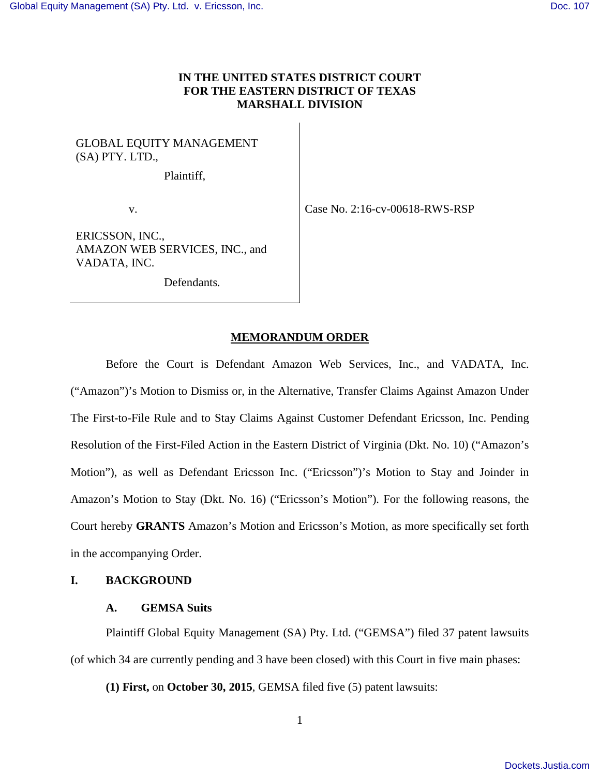## **IN THE UNITED STATES DISTRICT COURT FOR THE EASTERN DISTRICT OF TEXAS MARSHALL DIVISION**

# GLOBAL EQUITY MANAGEMENT (SA) PTY. LTD.,

Plaintiff,

v.

Case No. 2:16-cv-00618-RWS-RSP

ERICSSON, INC., AMAZON WEB SERVICES, INC., and VADATA, INC.

Defendants*.* 

## **MEMORANDUM ORDER**

Before the Court is Defendant Amazon Web Services, Inc., and VADATA, Inc. ("Amazon")'s Motion to Dismiss or, in the Alternative, Transfer Claims Against Amazon Under The First-to-File Rule and to Stay Claims Against Customer Defendant Ericsson, Inc. Pending Resolution of the First-Filed Action in the Eastern District of Virginia (Dkt. No. 10) ("Amazon's Motion"), as well as Defendant Ericsson Inc. ("Ericsson")'s Motion to Stay and Joinder in Amazon's Motion to Stay (Dkt. No. 16) ("Ericsson's Motion"). For the following reasons, the Court hereby **GRANTS** Amazon's Motion and Ericsson's Motion, as more specifically set forth in the accompanying Order.

## **I. BACKGROUND**

## **A. GEMSA Suits**

Plaintiff Global Equity Management (SA) Pty. Ltd. ("GEMSA") filed 37 patent lawsuits (of which 34 are currently pending and 3 have been closed) with this Court in five main phases:

**(1) First,** on **October 30, 2015**, GEMSA filed five (5) patent lawsuits: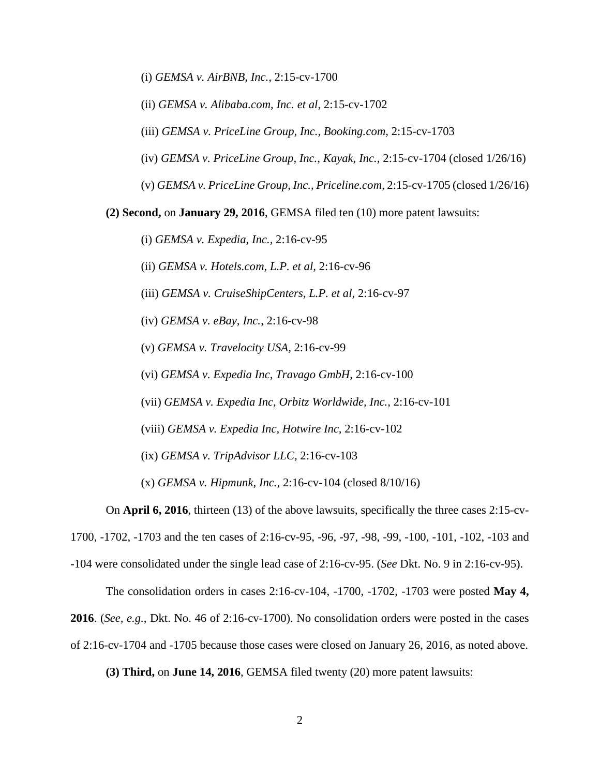(i) *GEMSA v. AirBNB, Inc.,* 2:15-cv-1700

(ii) *GEMSA v. Alibaba.com, Inc. et al*, 2:15-cv-1702

(iii) *GEMSA v. PriceLine Group, Inc., Booking.com,* 2:15-cv-1703

(iv) *GEMSA v. PriceLine Group, Inc., Kayak, Inc.,* 2:15-cv-1704 (closed 1/26/16)

(v) *GEMSA v. PriceLine Group, Inc., Priceline.com,* 2:15-cv-1705 (closed 1/26/16)

**(2) Second,** on **January 29, 2016**, GEMSA filed ten (10) more patent lawsuits:

(i) *GEMSA v. Expedia, Inc.,* 2:16-cv-95

(ii) *GEMSA v. Hotels.com, L.P. et al,* 2:16-cv-96

(iii) *GEMSA v. CruiseShipCenters, L.P. et al,* 2:16-cv-97

(iv) *GEMSA v. eBay, Inc.,* 2:16-cv-98

(v) *GEMSA v. Travelocity USA,* 2:16-cv-99

(vi) *GEMSA v. Expedia Inc, Travago GmbH,* 2:16-cv-100

(vii) *GEMSA v. Expedia Inc, Orbitz Worldwide, Inc.,* 2:16-cv-101

(viii) *GEMSA v. Expedia Inc, Hotwire Inc,* 2:16-cv-102

(ix) *GEMSA v. TripAdvisor LLC,* 2:16-cv-103

(x) *GEMSA v. Hipmunk, Inc.,* 2:16-cv-104 (closed 8/10/16)

On **April 6, 2016**, thirteen (13) of the above lawsuits, specifically the three cases 2:15-cv-

1700, -1702, -1703 and the ten cases of 2:16-cv-95, -96, -97, -98, -99, -100, -101, -102, -103 and

-104 were consolidated under the single lead case of 2:16-cv-95. (*See* Dkt. No. 9 in 2:16-cv-95).

The consolidation orders in cases 2:16-cv-104, -1700, -1702, -1703 were posted **May 4,** 

**2016**. (*See, e.g.,* Dkt. No. 46 of 2:16-cv-1700). No consolidation orders were posted in the cases

of 2:16-cv-1704 and -1705 because those cases were closed on January 26, 2016, as noted above.

**(3) Third,** on **June 14, 2016**, GEMSA filed twenty (20) more patent lawsuits: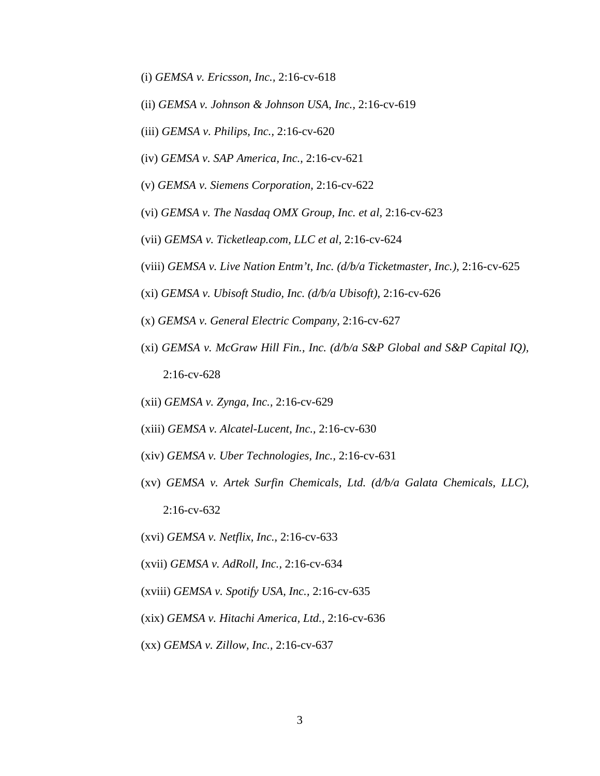(i) *GEMSA v. Ericsson, Inc.,* 2:16-cv-618

- (ii) *GEMSA v. Johnson & Johnson USA, Inc.,* 2:16-cv-619
- (iii) *GEMSA v. Philips, Inc.,* 2:16-cv-620
- (iv) *GEMSA v. SAP America, Inc.,* 2:16-cv-621
- (v) *GEMSA v. Siemens Corporation,* 2:16-cv-622
- (vi) *GEMSA v. The Nasdaq OMX Group, Inc. et al,* 2:16-cv-623
- (vii) *GEMSA v. Ticketleap.com, LLC et al,* 2:16-cv-624
- (viii) *GEMSA v. Live Nation Entm't, Inc. (d/b/a Ticketmaster, Inc.),* 2:16-cv-625
- (xi) *GEMSA v. Ubisoft Studio, Inc. (d/b/a Ubisoft),* 2:16-cv-626
- (x) *GEMSA v. General Electric Company,* 2:16-cv-627
- (xi) *GEMSA v. McGraw Hill Fin., Inc. (d/b/a S&P Global and S&P Capital IQ),*  2:16-cv-628
- (xii) *GEMSA v. Zynga, Inc.,* 2:16-cv-629
- (xiii) *GEMSA v. Alcatel-Lucent, Inc.,* 2:16-cv-630
- (xiv) *GEMSA v. Uber Technologies, Inc.,* 2:16-cv-631
- (xv) *GEMSA v. Artek Surfin Chemicals, Ltd. (d/b/a Galata Chemicals, LLC),* 2:16-cv-632
- (xvi) *GEMSA v. Netflix, Inc.,* 2:16-cv-633
- (xvii) *GEMSA v. AdRoll, Inc.,* 2:16-cv-634
- (xviii) *GEMSA v. Spotify USA, Inc.,* 2:16-cv-635
- (xix) *GEMSA v. Hitachi America, Ltd.,* 2:16-cv-636
- (xx) *GEMSA v. Zillow, Inc.,* 2:16-cv-637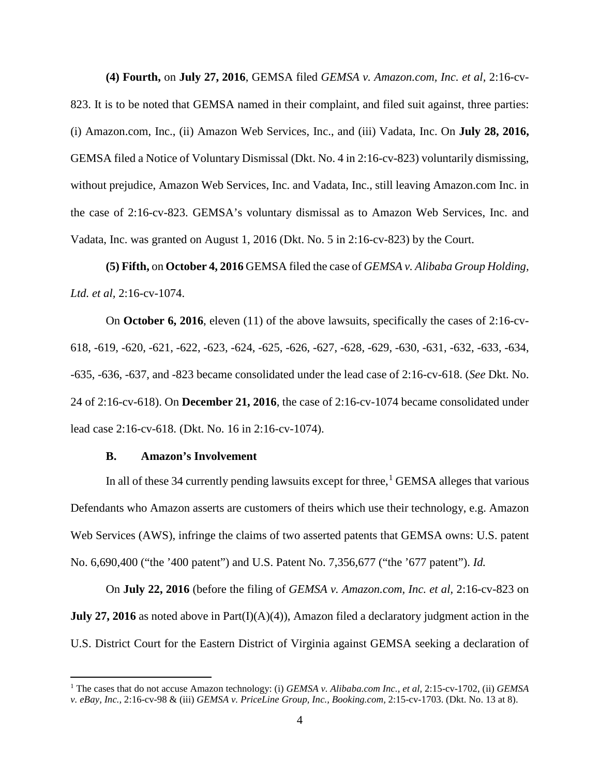**(4) Fourth,** on **July 27, 2016**, GEMSA filed *GEMSA v. Amazon.com, Inc. et al,* 2:16-cv-823. It is to be noted that GEMSA named in their complaint, and filed suit against, three parties: (i) Amazon.com, Inc., (ii) Amazon Web Services, Inc., and (iii) Vadata, Inc. On **July 28, 2016,**  GEMSA filed a Notice of Voluntary Dismissal (Dkt. No. 4 in 2:16-cv-823) voluntarily dismissing, without prejudice, Amazon Web Services, Inc. and Vadata, Inc., still leaving Amazon.com Inc. in the case of 2:16-cv-823. GEMSA's voluntary dismissal as to Amazon Web Services, Inc. and Vadata, Inc. was granted on August 1, 2016 (Dkt. No. 5 in 2:16-cv-823) by the Court.

**(5) Fifth,** on **October 4, 2016** GEMSA filed the case of *GEMSA v. Alibaba Group Holding, Ltd. et al,* 2:16-cv-1074.

On **October 6, 2016**, eleven (11) of the above lawsuits, specifically the cases of 2:16-cv-618, -619, -620, -621, -622, -623, -624, -625, -626, -627, -628, -629, -630, -631, -632, -633, -634, -635, -636, -637, and -823 became consolidated under the lead case of 2:16-cv-618. (*See* Dkt. No. 24 of 2:16-cv-618). On **December 21, 2016**, the case of 2:16-cv-1074 became consolidated under lead case 2:16-cv-618. (Dkt. No. 16 in 2:16-cv-1074).

#### **B. Amazon's Involvement**

 $\overline{a}$ 

In all of these 34 currently pending lawsuits except for three,<sup>[1](#page-3-0)</sup> GEMSA alleges that various Defendants who Amazon asserts are customers of theirs which use their technology, e.g. Amazon Web Services (AWS), infringe the claims of two asserted patents that GEMSA owns: U.S. patent No. 6,690,400 ("the '400 patent") and U.S. Patent No. 7,356,677 ("the '677 patent"). *Id.* 

On **July 22, 2016** (before the filing of *GEMSA v. Amazon.com, Inc. et al,* 2:16-cv-823 on **July 27, 2016** as noted above in Part $(I)(A)(4)$ , Amazon filed a declaratory judgment action in the U.S. District Court for the Eastern District of Virginia against GEMSA seeking a declaration of

<span id="page-3-0"></span><sup>1</sup> The cases that do not accuse Amazon technology: (i) *GEMSA v. Alibaba.com Inc., et al,* 2:15-cv-1702, (ii) *GEMSA v. eBay, Inc.,* 2:16-cv-98 & (iii) *GEMSA v. PriceLine Group, Inc., Booking.com,* 2:15-cv-1703. (Dkt. No. 13 at 8).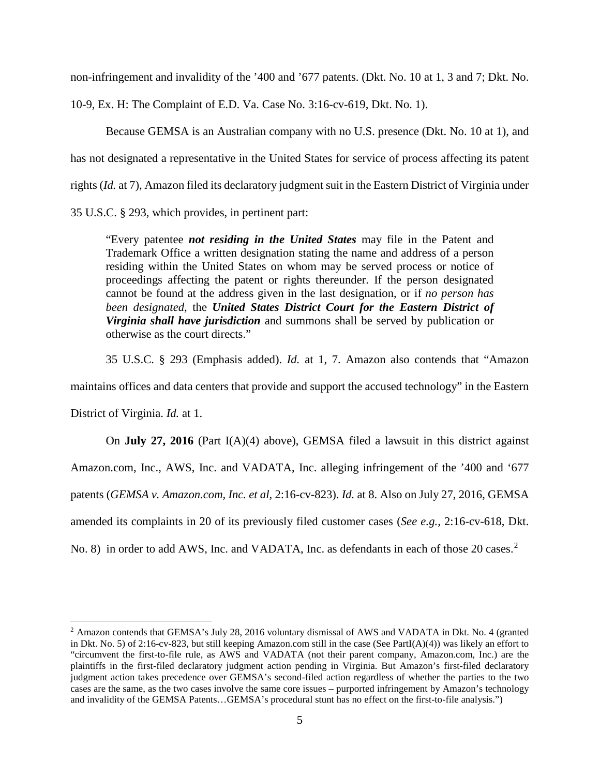non-infringement and invalidity of the '400 and '677 patents. (Dkt. No. 10 at 1, 3 and 7; Dkt. No.

10-9, Ex. H: The Complaint of E.D. Va. Case No. 3:16-cv-619, Dkt. No. 1).

Because GEMSA is an Australian company with no U.S. presence (Dkt. No. 10 at 1), and has not designated a representative in the United States for service of process affecting its patent rights (*Id.* at 7), Amazon filed its declaratory judgment suit in the Eastern District of Virginia under 35 U.S.C. § 293, which provides, in pertinent part:

"Every patentee *not residing in the United States* may file in the Patent and Trademark Office a written designation stating the name and address of a person residing within the United States on whom may be served process or notice of proceedings affecting the patent or rights thereunder. If the person designated cannot be found at the address given in the last designation, or if *no person has been designated*, the *United States District Court for the Eastern District of Virginia shall have jurisdiction* and summons shall be served by publication or otherwise as the court directs."

35 U.S.C. § 293 (Emphasis added). *Id.* at 1, 7. Amazon also contends that "Amazon

maintains offices and data centers that provide and support the accused technology" in the Eastern

District of Virginia. *Id.* at 1.

<u>.</u>

On **July 27, 2016** (Part I(A)(4) above), GEMSA filed a lawsuit in this district against Amazon.com, Inc., AWS, Inc. and VADATA, Inc. alleging infringement of the '400 and '677 patents (*GEMSA v. Amazon.com, Inc. et al,* 2:16-cv-823). *Id.* at 8. Also on July 27, 2016, GEMSA amended its complaints in 20 of its previously filed customer cases (*See e.g.,* 2:16-cv-618, Dkt. No. 8) in order to add AWS, Inc. and VADATA, Inc. as defendants in each of those [2](#page-4-0)0 cases.<sup>2</sup>

<span id="page-4-0"></span><sup>&</sup>lt;sup>2</sup> Amazon contends that GEMSA's July 28, 2016 voluntary dismissal of AWS and VADATA in Dkt. No. 4 (granted in Dkt. No. 5) of 2:16-cv-823, but still keeping Amazon.com still in the case (See PartI(A)(4)) was likely an effort to "circumvent the first-to-file rule, as AWS and VADATA (not their parent company, Amazon.com, Inc.) are the plaintiffs in the first-filed declaratory judgment action pending in Virginia. But Amazon's first-filed declaratory judgment action takes precedence over GEMSA's second-filed action regardless of whether the parties to the two cases are the same, as the two cases involve the same core issues – purported infringement by Amazon's technology and invalidity of the GEMSA Patents…GEMSA's procedural stunt has no effect on the first-to-file analysis.")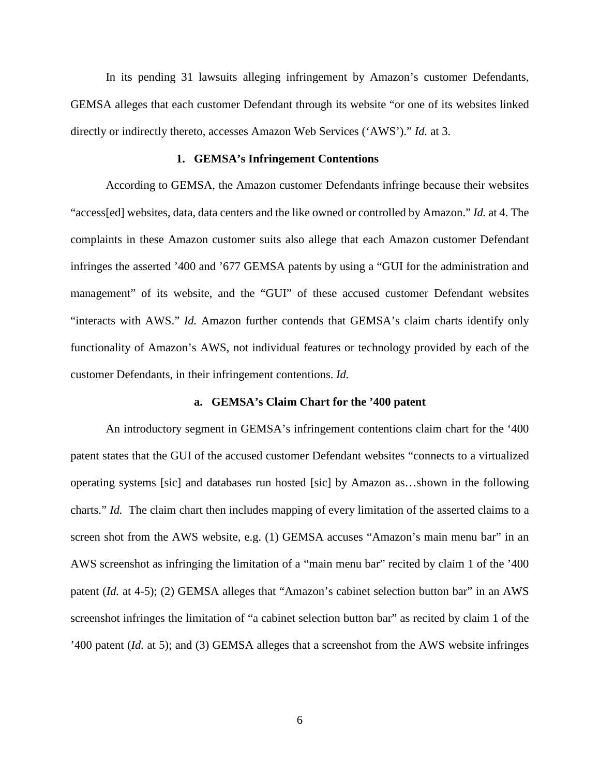In its pending 31 lawsuits alleging infringement by Amazon's customer Defendants, GEMSA alleges that each customer Defendant through its website "or one of its websites linked directly or indirectly thereto, accesses Amazon Web Services ('AWS')." *Id.* at 3.

#### **1. GEMSA's Infringement Contentions**

According to GEMSA, the Amazon customer Defendants infringe because their websites "access[ed] websites, data, data centers and the like owned or controlled by Amazon." *Id.* at 4. The complaints in these Amazon customer suits also allege that each Amazon customer Defendant infringes the asserted '400 and '677 GEMSA patents by using a "GUI for the administration and management" of its website, and the "GUI" of these accused customer Defendant websites "interacts with AWS." *Id.* Amazon further contends that GEMSA's claim charts identify only functionality of Amazon's AWS, not individual features or technology provided by each of the customer Defendants, in their infringement contentions. *Id.* 

## **a. GEMSA's Claim Chart for the '400 patent**

An introductory segment in GEMSA's infringement contentions claim chart for the '400 patent states that the GUI of the accused customer Defendant websites "connects to a virtualized operating systems [sic] and databases run hosted [sic] by Amazon as…shown in the following charts." *Id.* The claim chart then includes mapping of every limitation of the asserted claims to a screen shot from the AWS website, e.g. (1) GEMSA accuses "Amazon's main menu bar" in an AWS screenshot as infringing the limitation of a "main menu bar" recited by claim 1 of the '400 patent (*Id.* at 4-5); (2) GEMSA alleges that "Amazon's cabinet selection button bar" in an AWS screenshot infringes the limitation of "a cabinet selection button bar" as recited by claim 1 of the '400 patent (*Id.* at 5); and (3) GEMSA alleges that a screenshot from the AWS website infringes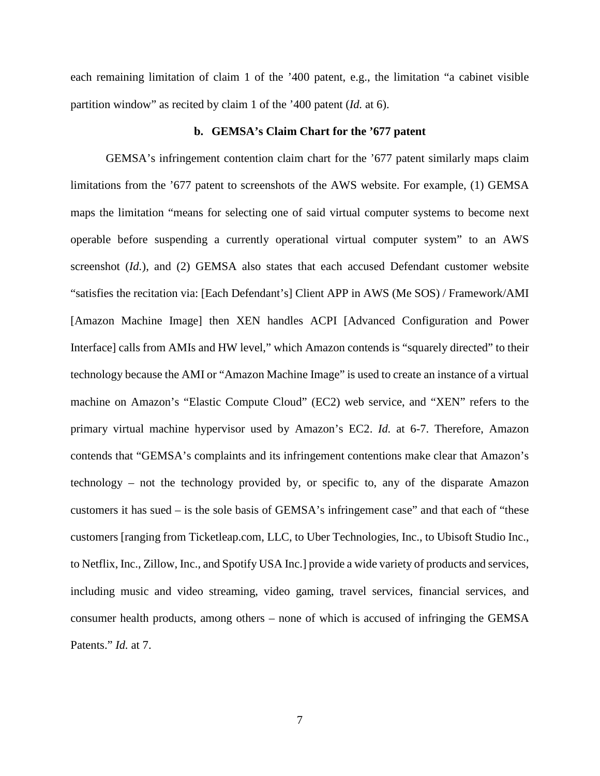each remaining limitation of claim 1 of the '400 patent, e.g., the limitation "a cabinet visible partition window" as recited by claim 1 of the '400 patent (*Id.* at 6).

#### **b. GEMSA's Claim Chart for the '677 patent**

GEMSA's infringement contention claim chart for the '677 patent similarly maps claim limitations from the '677 patent to screenshots of the AWS website. For example, (1) GEMSA maps the limitation "means for selecting one of said virtual computer systems to become next operable before suspending a currently operational virtual computer system" to an AWS screenshot (*Id.*), and (2) GEMSA also states that each accused Defendant customer website "satisfies the recitation via: [Each Defendant's] Client APP in AWS (Me SOS) / Framework/AMI [Amazon Machine Image] then XEN handles ACPI [Advanced Configuration and Power Interface] calls from AMIs and HW level," which Amazon contends is "squarely directed" to their technology because the AMI or "Amazon Machine Image" is used to create an instance of a virtual machine on Amazon's "Elastic Compute Cloud" (EC2) web service, and "XEN" refers to the primary virtual machine hypervisor used by Amazon's EC2. *Id.* at 6-7. Therefore, Amazon contends that "GEMSA's complaints and its infringement contentions make clear that Amazon's technology – not the technology provided by, or specific to, any of the disparate Amazon customers it has sued – is the sole basis of GEMSA's infringement case" and that each of "these customers [ranging from Ticketleap.com, LLC, to Uber Technologies, Inc., to Ubisoft Studio Inc., to Netflix, Inc., Zillow, Inc., and Spotify USA Inc.] provide a wide variety of products and services, including music and video streaming, video gaming, travel services, financial services, and consumer health products, among others – none of which is accused of infringing the GEMSA Patents." *Id.* at 7.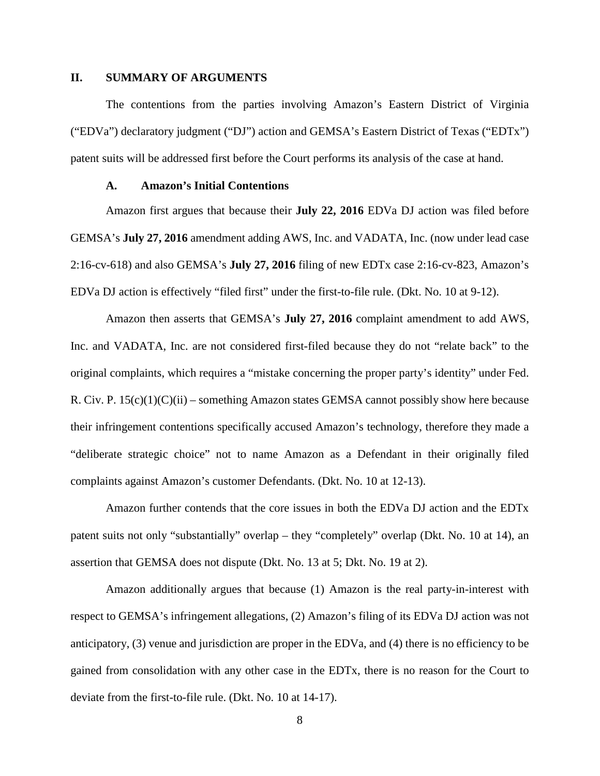## **II. SUMMARY OF ARGUMENTS**

The contentions from the parties involving Amazon's Eastern District of Virginia ("EDVa") declaratory judgment ("DJ") action and GEMSA's Eastern District of Texas ("EDTx") patent suits will be addressed first before the Court performs its analysis of the case at hand.

### **A. Amazon's Initial Contentions**

Amazon first argues that because their **July 22, 2016** EDVa DJ action was filed before GEMSA's **July 27, 2016** amendment adding AWS, Inc. and VADATA, Inc. (now under lead case 2:16-cv-618) and also GEMSA's **July 27, 2016** filing of new EDTx case 2:16-cv-823, Amazon's EDVa DJ action is effectively "filed first" under the first-to-file rule. (Dkt. No. 10 at 9-12).

Amazon then asserts that GEMSA's **July 27, 2016** complaint amendment to add AWS, Inc. and VADATA, Inc. are not considered first-filed because they do not "relate back" to the original complaints, which requires a "mistake concerning the proper party's identity" under Fed. R. Civ. P.  $15(c)(1)(C)(ii)$  – something Amazon states GEMSA cannot possibly show here because their infringement contentions specifically accused Amazon's technology, therefore they made a "deliberate strategic choice" not to name Amazon as a Defendant in their originally filed complaints against Amazon's customer Defendants. (Dkt. No. 10 at 12-13).

Amazon further contends that the core issues in both the EDVa DJ action and the EDTx patent suits not only "substantially" overlap – they "completely" overlap (Dkt. No. 10 at 14), an assertion that GEMSA does not dispute (Dkt. No. 13 at 5; Dkt. No. 19 at 2).

Amazon additionally argues that because (1) Amazon is the real party-in-interest with respect to GEMSA's infringement allegations, (2) Amazon's filing of its EDVa DJ action was not anticipatory, (3) venue and jurisdiction are proper in the EDVa, and (4) there is no efficiency to be gained from consolidation with any other case in the EDTx, there is no reason for the Court to deviate from the first-to-file rule. (Dkt. No. 10 at 14-17).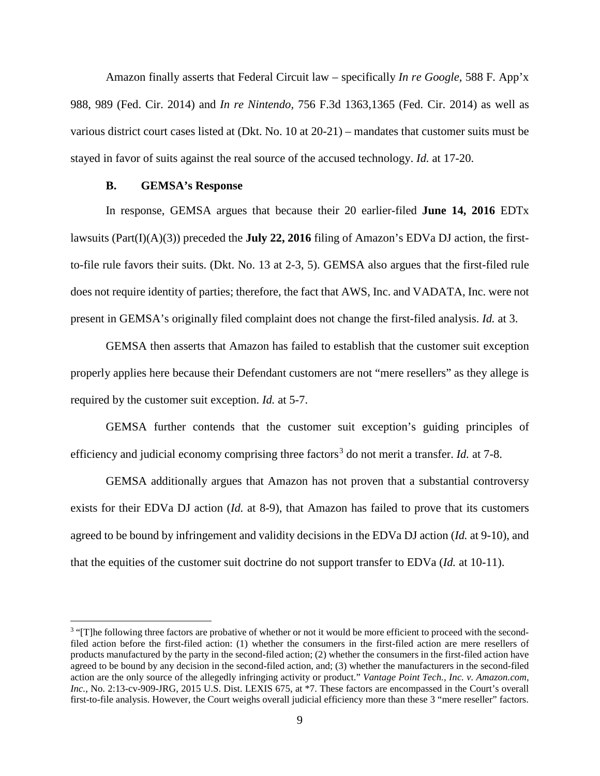Amazon finally asserts that Federal Circuit law – specifically *In re Google,* 588 F. App'x 988, 989 (Fed. Cir. 2014) and *In re Nintendo,* 756 F.3d 1363,1365 (Fed. Cir. 2014) as well as various district court cases listed at (Dkt. No. 10 at 20-21) – mandates that customer suits must be stayed in favor of suits against the real source of the accused technology. *Id.* at 17-20.

## **B. GEMSA's Response**

 $\overline{a}$ 

In response, GEMSA argues that because their 20 earlier-filed **June 14, 2016** EDTx lawsuits (Part(I)(A)(3)) preceded the **July 22, 2016** filing of Amazon's EDVa DJ action, the firstto-file rule favors their suits. (Dkt. No. 13 at 2-3, 5). GEMSA also argues that the first-filed rule does not require identity of parties; therefore, the fact that AWS, Inc. and VADATA, Inc. were not present in GEMSA's originally filed complaint does not change the first-filed analysis. *Id.* at 3.

GEMSA then asserts that Amazon has failed to establish that the customer suit exception properly applies here because their Defendant customers are not "mere resellers" as they allege is required by the customer suit exception. *Id.* at 5-7.

GEMSA further contends that the customer suit exception's guiding principles of efficiency and judicial economy comprising three factors<sup>[3](#page-8-0)</sup> do not merit a transfer. *Id.* at 7-8.

GEMSA additionally argues that Amazon has not proven that a substantial controversy exists for their EDVa DJ action (*Id.* at 8-9), that Amazon has failed to prove that its customers agreed to be bound by infringement and validity decisions in the EDVa DJ action (*Id.* at 9-10), and that the equities of the customer suit doctrine do not support transfer to EDVa (*Id.* at 10-11).

<span id="page-8-0"></span><sup>&</sup>lt;sup>3</sup> "[T]he following three factors are probative of whether or not it would be more efficient to proceed with the secondfiled action before the first-filed action: (1) whether the consumers in the first-filed action are mere resellers of products manufactured by the party in the second-filed action; (2) whether the consumers in the first-filed action have agreed to be bound by any decision in the second-filed action, and; (3) whether the manufacturers in the second-filed action are the only source of the allegedly infringing activity or product." *Vantage Point Tech., Inc. v. Amazon.com, Inc.,* No. 2:13-cv-909-JRG, 2015 U.S. Dist. LEXIS 675, at \*7. These factors are encompassed in the Court's overall first-to-file analysis. However, the Court weighs overall judicial efficiency more than these 3 "mere reseller" factors.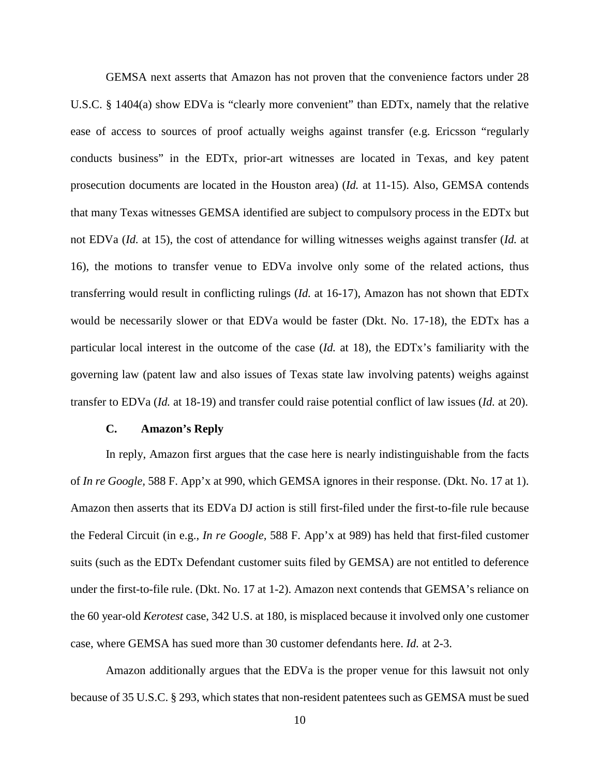GEMSA next asserts that Amazon has not proven that the convenience factors under 28 U.S.C. § 1404(a) show EDVa is "clearly more convenient" than EDTx, namely that the relative ease of access to sources of proof actually weighs against transfer (e.g. Ericsson "regularly conducts business" in the EDTx, prior-art witnesses are located in Texas, and key patent prosecution documents are located in the Houston area) (*Id.* at 11-15). Also, GEMSA contends that many Texas witnesses GEMSA identified are subject to compulsory process in the EDTx but not EDVa (*Id.* at 15), the cost of attendance for willing witnesses weighs against transfer (*Id.* at 16), the motions to transfer venue to EDVa involve only some of the related actions, thus transferring would result in conflicting rulings (*Id.* at 16-17), Amazon has not shown that EDTx would be necessarily slower or that EDVa would be faster (Dkt. No. 17-18), the EDTx has a particular local interest in the outcome of the case (*Id.* at 18), the EDTx's familiarity with the governing law (patent law and also issues of Texas state law involving patents) weighs against transfer to EDVa (*Id.* at 18-19) and transfer could raise potential conflict of law issues (*Id.* at 20).

#### **C. Amazon's Reply**

In reply, Amazon first argues that the case here is nearly indistinguishable from the facts of *In re Google,* 588 F. App'x at 990, which GEMSA ignores in their response. (Dkt. No. 17 at 1). Amazon then asserts that its EDVa DJ action is still first-filed under the first-to-file rule because the Federal Circuit (in e.g., *In re Google,* 588 F. App'x at 989) has held that first-filed customer suits (such as the EDTx Defendant customer suits filed by GEMSA) are not entitled to deference under the first-to-file rule. (Dkt. No. 17 at 1-2). Amazon next contends that GEMSA's reliance on the 60 year-old *Kerotest* case, 342 U.S. at 180, is misplaced because it involved only one customer case, where GEMSA has sued more than 30 customer defendants here. *Id.* at 2-3.

Amazon additionally argues that the EDVa is the proper venue for this lawsuit not only because of 35 U.S.C. § 293, which states that non-resident patentees such as GEMSA must be sued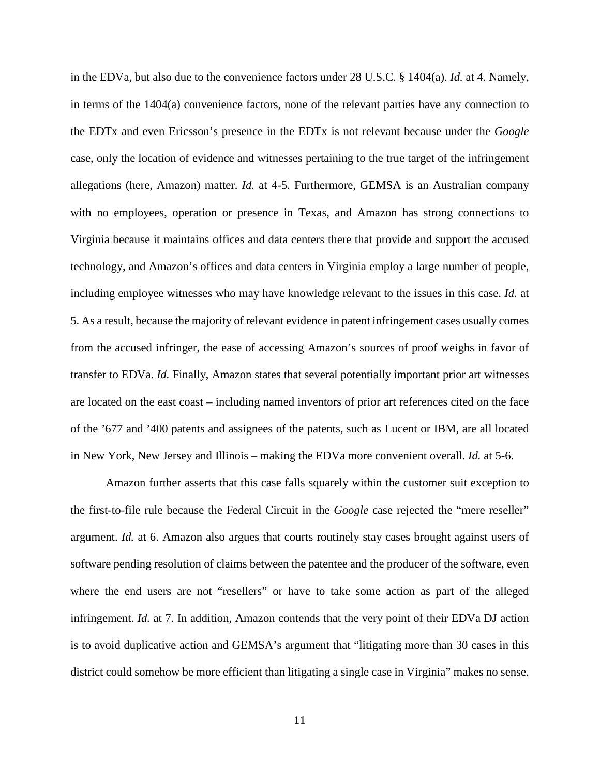in the EDVa, but also due to the convenience factors under 28 U.S.C. § 1404(a). *Id.* at 4. Namely, in terms of the 1404(a) convenience factors, none of the relevant parties have any connection to the EDTx and even Ericsson's presence in the EDTx is not relevant because under the *Google*  case, only the location of evidence and witnesses pertaining to the true target of the infringement allegations (here, Amazon) matter. *Id.* at 4-5. Furthermore, GEMSA is an Australian company with no employees, operation or presence in Texas, and Amazon has strong connections to Virginia because it maintains offices and data centers there that provide and support the accused technology, and Amazon's offices and data centers in Virginia employ a large number of people, including employee witnesses who may have knowledge relevant to the issues in this case. *Id.* at 5. As a result, because the majority of relevant evidence in patent infringement cases usually comes from the accused infringer, the ease of accessing Amazon's sources of proof weighs in favor of transfer to EDVa. *Id.* Finally, Amazon states that several potentially important prior art witnesses are located on the east coast – including named inventors of prior art references cited on the face of the '677 and '400 patents and assignees of the patents, such as Lucent or IBM, are all located in New York, New Jersey and Illinois – making the EDVa more convenient overall. *Id.* at 5-6.

Amazon further asserts that this case falls squarely within the customer suit exception to the first-to-file rule because the Federal Circuit in the *Google* case rejected the "mere reseller" argument. *Id.* at 6. Amazon also argues that courts routinely stay cases brought against users of software pending resolution of claims between the patentee and the producer of the software, even where the end users are not "resellers" or have to take some action as part of the alleged infringement. *Id.* at 7. In addition, Amazon contends that the very point of their EDVa DJ action is to avoid duplicative action and GEMSA's argument that "litigating more than 30 cases in this district could somehow be more efficient than litigating a single case in Virginia" makes no sense.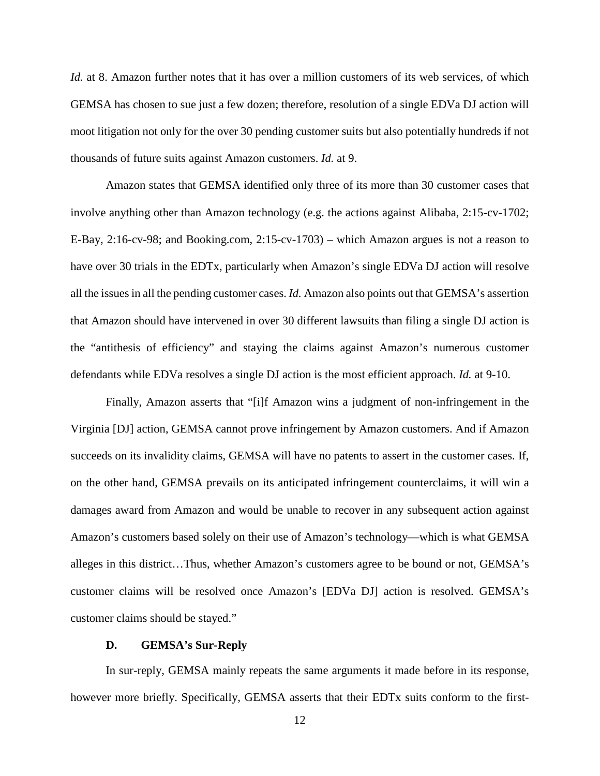*Id.* at 8. Amazon further notes that it has over a million customers of its web services, of which GEMSA has chosen to sue just a few dozen; therefore, resolution of a single EDVa DJ action will moot litigation not only for the over 30 pending customer suits but also potentially hundreds if not thousands of future suits against Amazon customers. *Id.* at 9.

Amazon states that GEMSA identified only three of its more than 30 customer cases that involve anything other than Amazon technology (e.g. the actions against Alibaba, 2:15-cv-1702; E-Bay, 2:16-cv-98; and Booking.com, 2:15-cv-1703) – which Amazon argues is not a reason to have over 30 trials in the EDTx, particularly when Amazon's single EDVa DJ action will resolve all the issues in all the pending customer cases. *Id.* Amazon also points out that GEMSA's assertion that Amazon should have intervened in over 30 different lawsuits than filing a single DJ action is the "antithesis of efficiency" and staying the claims against Amazon's numerous customer defendants while EDVa resolves a single DJ action is the most efficient approach. *Id.* at 9-10.

Finally, Amazon asserts that "[i]f Amazon wins a judgment of non-infringement in the Virginia [DJ] action, GEMSA cannot prove infringement by Amazon customers. And if Amazon succeeds on its invalidity claims, GEMSA will have no patents to assert in the customer cases. If, on the other hand, GEMSA prevails on its anticipated infringement counterclaims, it will win a damages award from Amazon and would be unable to recover in any subsequent action against Amazon's customers based solely on their use of Amazon's technology—which is what GEMSA alleges in this district…Thus, whether Amazon's customers agree to be bound or not, GEMSA's customer claims will be resolved once Amazon's [EDVa DJ] action is resolved. GEMSA's customer claims should be stayed."

## **D. GEMSA's Sur-Reply**

In sur-reply, GEMSA mainly repeats the same arguments it made before in its response, however more briefly. Specifically, GEMSA asserts that their EDTx suits conform to the first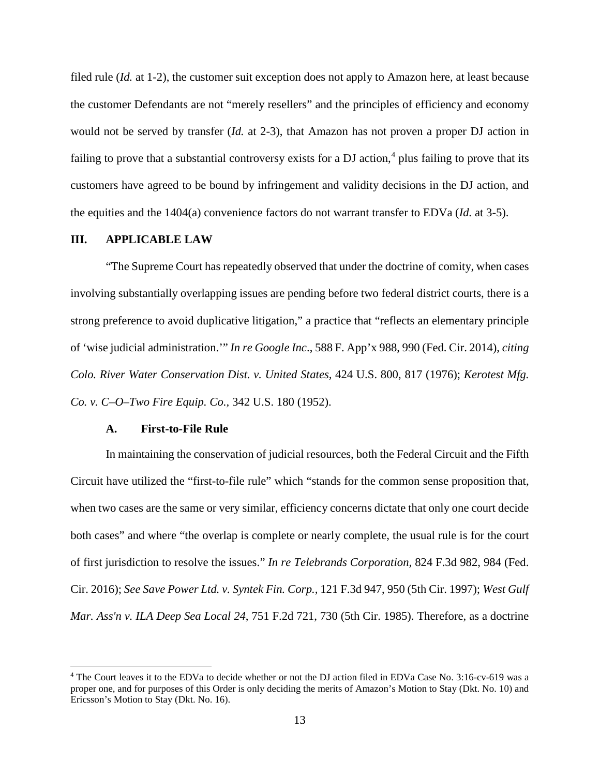filed rule (*Id.* at 1-2), the customer suit exception does not apply to Amazon here, at least because the customer Defendants are not "merely resellers" and the principles of efficiency and economy would not be served by transfer (*Id.* at 2-3), that Amazon has not proven a proper DJ action in failing to prove that a substantial controversy exists for a DJ action, $<sup>4</sup>$  $<sup>4</sup>$  $<sup>4</sup>$  plus failing to prove that its</sup> customers have agreed to be bound by infringement and validity decisions in the DJ action, and the equities and the 1404(a) convenience factors do not warrant transfer to EDVa (*Id.* at 3-5).

## **III. APPLICABLE LAW**

"The Supreme Court has repeatedly observed that under the doctrine of comity, when cases involving substantially overlapping issues are pending before two federal district courts, there is a strong preference to avoid duplicative litigation," a practice that "reflects an elementary principle of 'wise judicial administration.'" *In re Google Inc*., 588 F. App'x 988, 990 (Fed. Cir. 2014), *citing Colo. River Water Conservation Dist. v. United States,* 424 U.S. 800, 817 (1976); *Kerotest Mfg. Co. v. C–O–Two Fire Equip. Co.,* 342 U.S. 180 (1952).

#### **A. First-to-File Rule**

<u>.</u>

In maintaining the conservation of judicial resources, both the Federal Circuit and the Fifth Circuit have utilized the "first-to-file rule" which "stands for the common sense proposition that, when two cases are the same or very similar, efficiency concerns dictate that only one court decide both cases" and where "the overlap is complete or nearly complete, the usual rule is for the court of first jurisdiction to resolve the issues." *In re Telebrands Corporation,* 824 F.3d 982, 984 (Fed. Cir. 2016); *See Save Power Ltd. v. Syntek Fin. Corp.,* 121 F.3d 947, 950 (5th Cir. 1997); *West Gulf Mar. Ass'n v. ILA Deep Sea Local 24*, 751 F.2d 721, 730 (5th Cir. 1985). Therefore, as a doctrine

<span id="page-12-0"></span><sup>4</sup> The Court leaves it to the EDVa to decide whether or not the DJ action filed in EDVa Case No. 3:16-cv-619 was a proper one, and for purposes of this Order is only deciding the merits of Amazon's Motion to Stay (Dkt. No. 10) and Ericsson's Motion to Stay (Dkt. No. 16).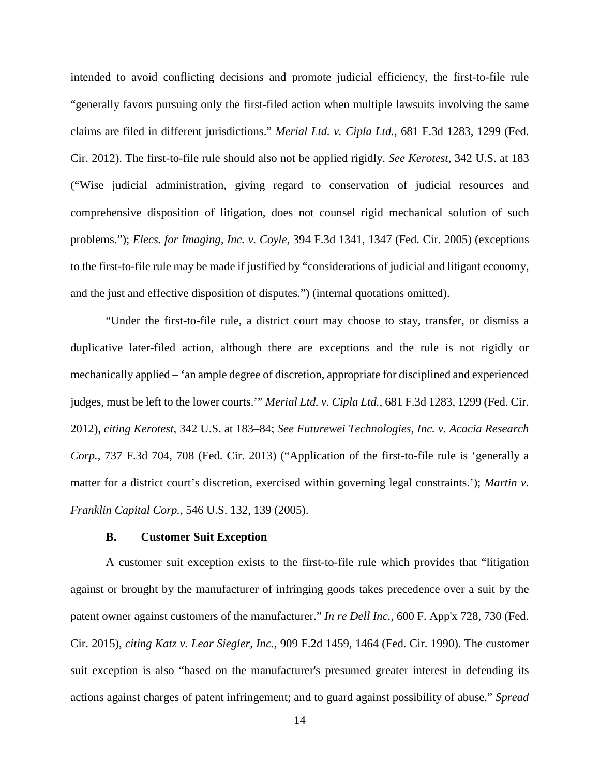intended to avoid conflicting decisions and promote judicial efficiency, the first-to-file rule "generally favors pursuing only the first-filed action when multiple lawsuits involving the same claims are filed in different jurisdictions." *Merial Ltd. v. Cipla Ltd.,* 681 F.3d 1283, 1299 (Fed. Cir. 2012). The first-to-file rule should also not be applied rigidly. *See Kerotest,* 342 U.S. at 183 ("Wise judicial administration, giving regard to conservation of judicial resources and comprehensive disposition of litigation, does not counsel rigid mechanical solution of such problems."); *Elecs. for Imaging, Inc. v. Coyle,* 394 F.3d 1341, 1347 (Fed. Cir. 2005) (exceptions to the first-to-file rule may be made if justified by "considerations of judicial and litigant economy, and the just and effective disposition of disputes.") (internal quotations omitted).

"Under the first-to-file rule, a district court may choose to stay, transfer, or dismiss a duplicative later-filed action, although there are exceptions and the rule is not rigidly or mechanically applied – 'an ample degree of discretion, appropriate for disciplined and experienced judges, must be left to the lower courts.'" *Merial Ltd. v. Cipla Ltd.,* 681 F.3d 1283, 1299 (Fed. Cir. 2012), *citing Kerotest*, 342 U.S. at 183–84; *See Futurewei Technologies, Inc. v. Acacia Research Corp.,* 737 F.3d 704, 708 (Fed. Cir. 2013) ("Application of the first-to-file rule is 'generally a matter for a district court's discretion, exercised within governing legal constraints.'); *Martin v. Franklin Capital Corp.,* 546 U.S. 132, 139 (2005).

## **B. Customer Suit Exception**

A customer suit exception exists to the first-to-file rule which provides that "litigation against or brought by the manufacturer of infringing goods takes precedence over a suit by the patent owner against customers of the manufacturer." *In re Dell Inc.,* 600 F. App'x 728, 730 (Fed. Cir. 2015), *citing Katz v. Lear Siegler, Inc.,* 909 F.2d 1459, 1464 (Fed. Cir. 1990). The customer suit exception is also "based on the manufacturer's presumed greater interest in defending its actions against charges of patent infringement; and to guard against possibility of abuse." *Spread*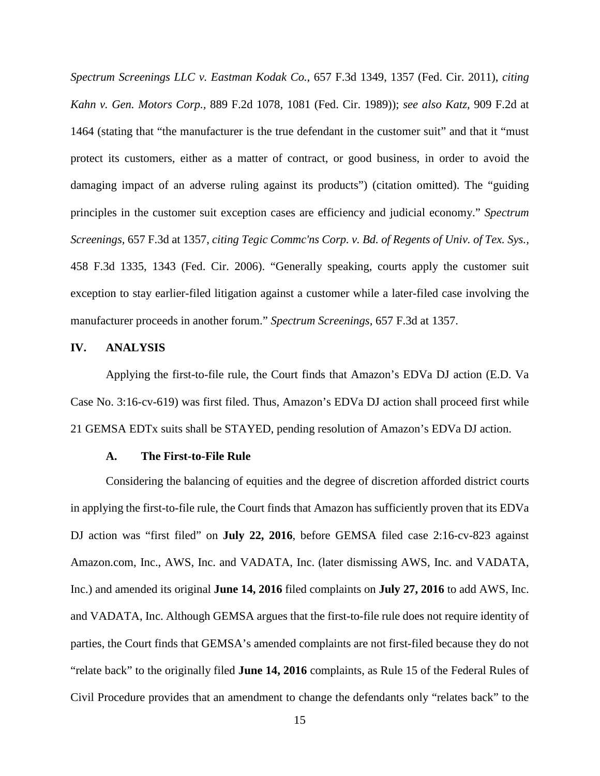*Spectrum Screenings LLC v. Eastman Kodak Co.,* 657 F.3d 1349, 1357 (Fed. Cir. 2011), *citing Kahn v. Gen. Motors Corp.,* 889 F.2d 1078, 1081 (Fed. Cir. 1989)); *see also Katz,* 909 F.2d at 1464 (stating that "the manufacturer is the true defendant in the customer suit" and that it "must protect its customers, either as a matter of contract, or good business, in order to avoid the damaging impact of an adverse ruling against its products") (citation omitted). The "guiding principles in the customer suit exception cases are efficiency and judicial economy." *Spectrum Screenings,* 657 F.3d at 1357, *citing Tegic Commc'ns Corp. v. Bd. of Regents of Univ. of Tex. Sys.,*  458 F.3d 1335, 1343 (Fed. Cir. 2006). "Generally speaking, courts apply the customer suit exception to stay earlier-filed litigation against a customer while a later-filed case involving the manufacturer proceeds in another forum." *Spectrum Screenings,* 657 F.3d at 1357.

#### **IV. ANALYSIS**

Applying the first-to-file rule, the Court finds that Amazon's EDVa DJ action (E.D. Va Case No. 3:16-cv-619) was first filed. Thus, Amazon's EDVa DJ action shall proceed first while 21 GEMSA EDTx suits shall be STAYED, pending resolution of Amazon's EDVa DJ action.

#### **A. The First-to-File Rule**

Considering the balancing of equities and the degree of discretion afforded district courts in applying the first-to-file rule, the Court finds that Amazon has sufficiently proven that its EDVa DJ action was "first filed" on **July 22, 2016**, before GEMSA filed case 2:16-cv-823 against Amazon.com, Inc., AWS, Inc. and VADATA, Inc. (later dismissing AWS, Inc. and VADATA, Inc.) and amended its original **June 14, 2016** filed complaints on **July 27, 2016** to add AWS, Inc. and VADATA, Inc. Although GEMSA argues that the first-to-file rule does not require identity of parties, the Court finds that GEMSA's amended complaints are not first-filed because they do not "relate back" to the originally filed **June 14, 2016** complaints, as Rule 15 of the Federal Rules of Civil Procedure provides that an amendment to change the defendants only "relates back" to the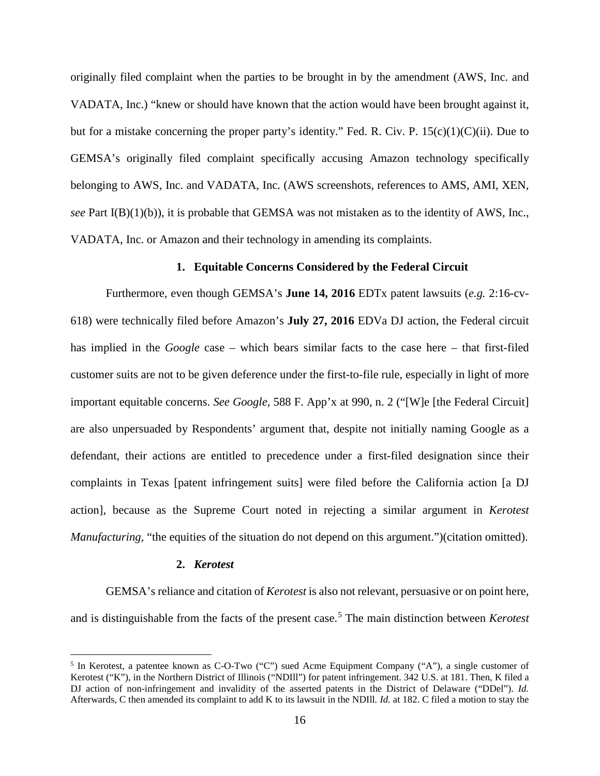originally filed complaint when the parties to be brought in by the amendment (AWS, Inc. and VADATA, Inc.) "knew or should have known that the action would have been brought against it, but for a mistake concerning the proper party's identity." Fed. R. Civ. P.  $15(c)(1)(C(ii)$ . Due to GEMSA's originally filed complaint specifically accusing Amazon technology specifically belonging to AWS, Inc. and VADATA, Inc. (AWS screenshots, references to AMS, AMI, XEN, *see* Part I(B)(1)(b)), it is probable that GEMSA was not mistaken as to the identity of AWS, Inc., VADATA, Inc. or Amazon and their technology in amending its complaints.

### **1. Equitable Concerns Considered by the Federal Circuit**

 Furthermore, even though GEMSA's **June 14, 2016** EDTx patent lawsuits (*e.g.* 2:16-cv-618) were technically filed before Amazon's **July 27, 2016** EDVa DJ action, the Federal circuit has implied in the *Google* case – which bears similar facts to the case here – that first-filed customer suits are not to be given deference under the first-to-file rule, especially in light of more important equitable concerns. *See Google,* 588 F. App'x at 990, n. 2 ("[W]e [the Federal Circuit] are also unpersuaded by Respondents' argument that, despite not initially naming Google as a defendant, their actions are entitled to precedence under a first-filed designation since their complaints in Texas [patent infringement suits] were filed before the California action [a DJ action], because as the Supreme Court noted in rejecting a similar argument in *Kerotest Manufacturing,* "the equities of the situation do not depend on this argument.")(citation omitted).

#### **2.** *Kerotest*

 $\overline{a}$ 

GEMSA's reliance and citation of *Kerotest* is also not relevant, persuasive or on point here, and is distinguishable from the facts of the present case.<sup>[5](#page-15-0)</sup> The main distinction between *Kerotest* 

<span id="page-15-0"></span><sup>&</sup>lt;sup>5</sup> In Kerotest, a patentee known as C-O-Two ("C") sued Acme Equipment Company ("A"), a single customer of Kerotest ("K"), in the Northern District of Illinois ("NDIll") for patent infringement. 342 U.S. at 181. Then, K filed a DJ action of non-infringement and invalidity of the asserted patents in the District of Delaware ("DDel"). *Id.* Afterwards, C then amended its complaint to add K to its lawsuit in the NDIll*. Id.* at 182. C filed a motion to stay the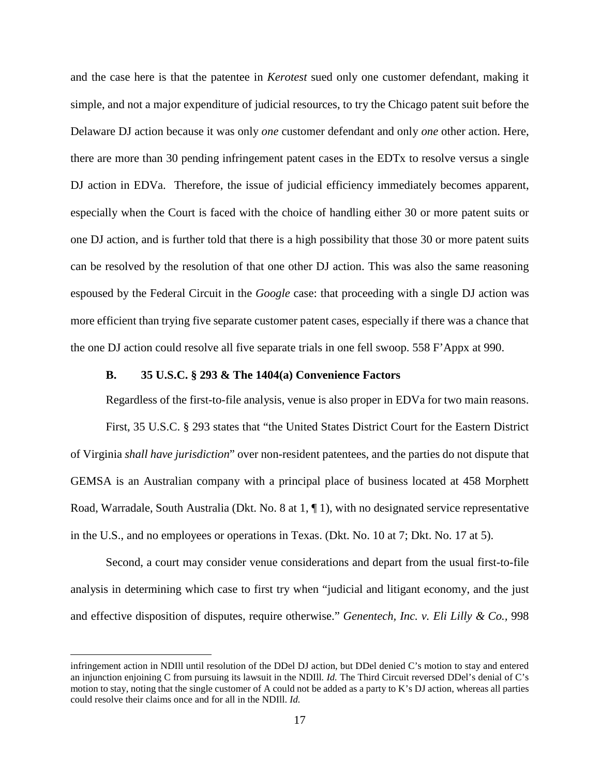and the case here is that the patentee in *Kerotest* sued only one customer defendant, making it simple, and not a major expenditure of judicial resources, to try the Chicago patent suit before the Delaware DJ action because it was only *one* customer defendant and only *one* other action. Here, there are more than 30 pending infringement patent cases in the EDTx to resolve versus a single DJ action in EDVa. Therefore, the issue of judicial efficiency immediately becomes apparent, especially when the Court is faced with the choice of handling either 30 or more patent suits or one DJ action, and is further told that there is a high possibility that those 30 or more patent suits can be resolved by the resolution of that one other DJ action. This was also the same reasoning espoused by the Federal Circuit in the *Google* case: that proceeding with a single DJ action was more efficient than trying five separate customer patent cases, especially if there was a chance that the one DJ action could resolve all five separate trials in one fell swoop. 558 F'Appx at 990.

#### **B. 35 U.S.C. § 293 & The 1404(a) Convenience Factors**

Regardless of the first-to-file analysis, venue is also proper in EDVa for two main reasons.

First, 35 U.S.C. § 293 states that "the United States District Court for the Eastern District of Virginia *shall have jurisdiction*" over non-resident patentees, and the parties do not dispute that GEMSA is an Australian company with a principal place of business located at 458 Morphett Road, Warradale, South Australia (Dkt. No. 8 at 1, ¶ 1), with no designated service representative in the U.S., and no employees or operations in Texas. (Dkt. No. 10 at 7; Dkt. No. 17 at 5).

Second, a court may consider venue considerations and depart from the usual first-to-file analysis in determining which case to first try when "judicial and litigant economy, and the just and effective disposition of disputes, require otherwise." *Genentech, Inc. v. Eli Lilly & Co.,* 998

 $\overline{a}$ 

infringement action in NDIll until resolution of the DDel DJ action, but DDel denied C's motion to stay and entered an injunction enjoining C from pursuing its lawsuit in the NDIll*. Id.* The Third Circuit reversed DDel's denial of C's motion to stay, noting that the single customer of A could not be added as a party to K's DJ action, whereas all parties could resolve their claims once and for all in the NDIll. *Id.*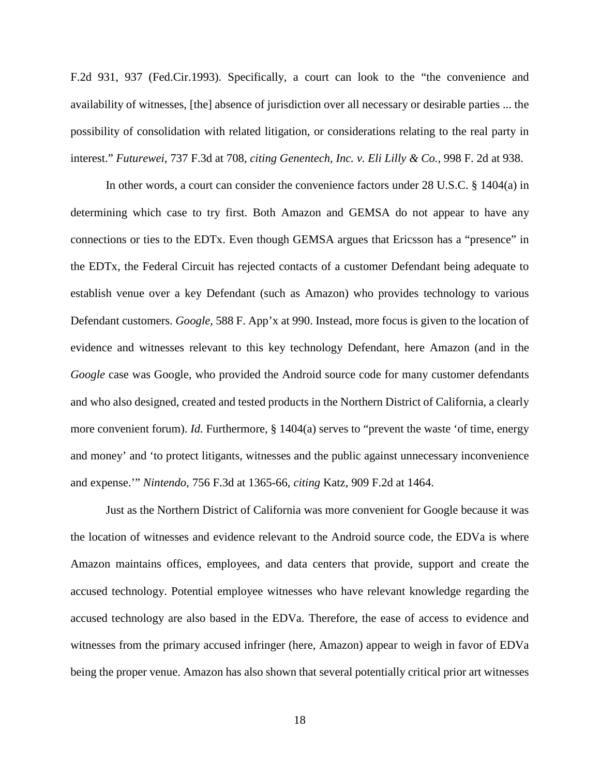F.2d 931, 937 (Fed.Cir.1993). Specifically, a court can look to the "the convenience and availability of witnesses, [the] absence of jurisdiction over all necessary or desirable parties ... the possibility of consolidation with related litigation, or considerations relating to the real party in interest." *Futurewei,* 737 F.3d at 708, *citing Genentech, Inc. v. Eli Lilly & Co.,* 998 F. 2d at 938.

In other words, a court can consider the convenience factors under 28 U.S.C. § 1404(a) in determining which case to try first. Both Amazon and GEMSA do not appear to have any connections or ties to the EDTx. Even though GEMSA argues that Ericsson has a "presence" in the EDTx, the Federal Circuit has rejected contacts of a customer Defendant being adequate to establish venue over a key Defendant (such as Amazon) who provides technology to various Defendant customers. *Google,* 588 F. App'x at 990. Instead, more focus is given to the location of evidence and witnesses relevant to this key technology Defendant, here Amazon (and in the *Google* case was Google, who provided the Android source code for many customer defendants and who also designed, created and tested products in the Northern District of California, a clearly more convenient forum). *Id.* Furthermore, § 1404(a) serves to "prevent the waste 'of time, energy and money' and 'to protect litigants, witnesses and the public against unnecessary inconvenience and expense.'" *Nintendo,* 756 F.3d at 1365-66, *citing* Katz, 909 F.2d at 1464.

Just as the Northern District of California was more convenient for Google because it was the location of witnesses and evidence relevant to the Android source code, the EDVa is where Amazon maintains offices, employees, and data centers that provide, support and create the accused technology. Potential employee witnesses who have relevant knowledge regarding the accused technology are also based in the EDVa. Therefore, the ease of access to evidence and witnesses from the primary accused infringer (here, Amazon) appear to weigh in favor of EDVa being the proper venue. Amazon has also shown that several potentially critical prior art witnesses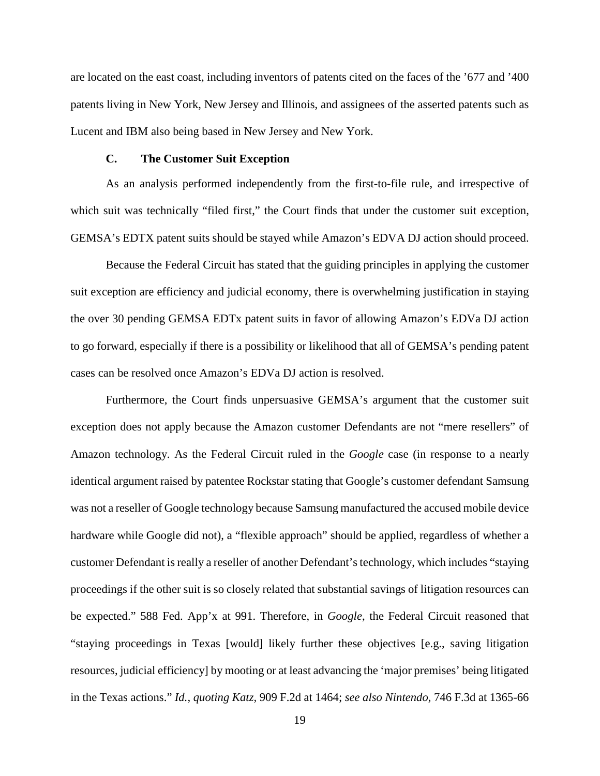are located on the east coast, including inventors of patents cited on the faces of the '677 and '400 patents living in New York, New Jersey and Illinois, and assignees of the asserted patents such as Lucent and IBM also being based in New Jersey and New York.

## **C. The Customer Suit Exception**

As an analysis performed independently from the first-to-file rule, and irrespective of which suit was technically "filed first," the Court finds that under the customer suit exception, GEMSA's EDTX patent suits should be stayed while Amazon's EDVA DJ action should proceed.

Because the Federal Circuit has stated that the guiding principles in applying the customer suit exception are efficiency and judicial economy, there is overwhelming justification in staying the over 30 pending GEMSA EDTx patent suits in favor of allowing Amazon's EDVa DJ action to go forward, especially if there is a possibility or likelihood that all of GEMSA's pending patent cases can be resolved once Amazon's EDVa DJ action is resolved.

Furthermore, the Court finds unpersuasive GEMSA's argument that the customer suit exception does not apply because the Amazon customer Defendants are not "mere resellers" of Amazon technology. As the Federal Circuit ruled in the *Google* case (in response to a nearly identical argument raised by patentee Rockstar stating that Google's customer defendant Samsung was not a reseller of Google technology because Samsung manufactured the accused mobile device hardware while Google did not), a "flexible approach" should be applied, regardless of whether a customer Defendant is really a reseller of another Defendant's technology, which includes "staying proceedings if the other suit is so closely related that substantial savings of litigation resources can be expected." 588 Fed. App'x at 991. Therefore, in *Google*, the Federal Circuit reasoned that "staying proceedings in Texas [would] likely further these objectives [e.g., saving litigation resources, judicial efficiency] by mooting or at least advancing the 'major premises' being litigated in the Texas actions." *Id., quoting Katz,* 909 F.2d at 1464; *see also Nintendo,* 746 F.3d at 1365-66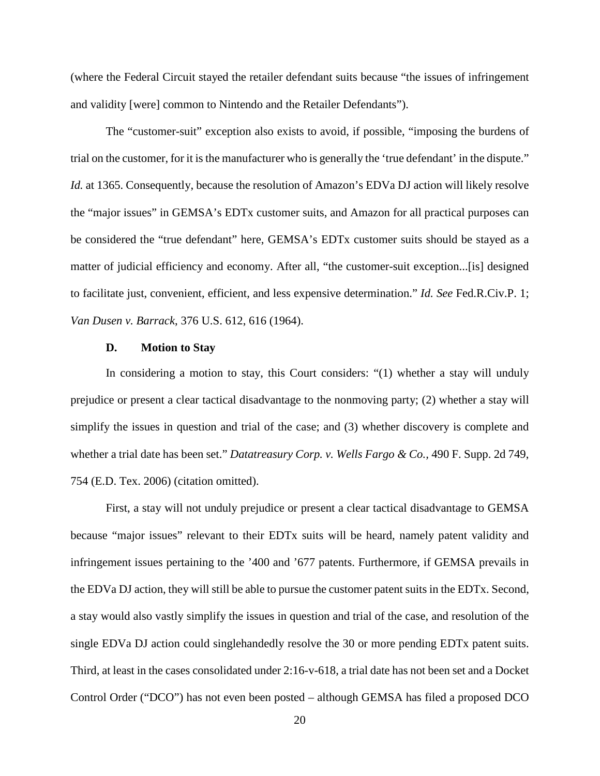(where the Federal Circuit stayed the retailer defendant suits because "the issues of infringement and validity [were] common to Nintendo and the Retailer Defendants").

The "customer-suit" exception also exists to avoid, if possible, "imposing the burdens of trial on the customer, for it is the manufacturer who is generally the 'true defendant' in the dispute." *Id.* at 1365. Consequently, because the resolution of Amazon's EDVa DJ action will likely resolve the "major issues" in GEMSA's EDTx customer suits, and Amazon for all practical purposes can be considered the "true defendant" here, GEMSA's EDTx customer suits should be stayed as a matter of judicial efficiency and economy. After all, "the customer-suit exception...[is] designed to facilitate just, convenient, efficient, and less expensive determination." *Id. See* Fed.R.Civ.P. 1; *Van Dusen v. Barrack*, 376 U.S. 612, 616 (1964).

## **D. Motion to Stay**

In considering a motion to stay, this Court considers: "(1) whether a stay will unduly prejudice or present a clear tactical disadvantage to the nonmoving party; (2) whether a stay will simplify the issues in question and trial of the case; and (3) whether discovery is complete and whether a trial date has been set." *Datatreasury Corp. v. Wells Fargo & Co.,* 490 F. Supp. 2d 749, 754 (E.D. Tex. 2006) (citation omitted).

First, a stay will not unduly prejudice or present a clear tactical disadvantage to GEMSA because "major issues" relevant to their EDTx suits will be heard, namely patent validity and infringement issues pertaining to the '400 and '677 patents. Furthermore, if GEMSA prevails in the EDVa DJ action, they will still be able to pursue the customer patent suits in the EDTx. Second, a stay would also vastly simplify the issues in question and trial of the case, and resolution of the single EDVa DJ action could singlehandedly resolve the 30 or more pending EDTx patent suits. Third, at least in the cases consolidated under 2:16-v-618, a trial date has not been set and a Docket Control Order ("DCO") has not even been posted – although GEMSA has filed a proposed DCO